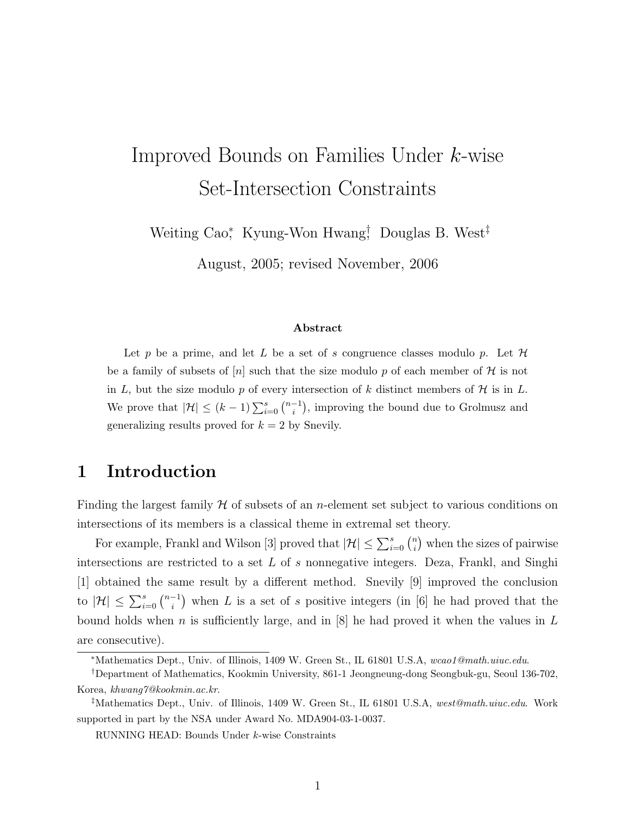# Improved Bounds on Families Under k-wise Set-Intersection Constraints

Weiting Cao<sup>\*</sup>, Kyung-Won Hwang<sup>†</sup>, Douglas B. West<sup>‡</sup>

August, 2005; revised November, 2006

#### Abstract

Let p be a prime, and let L be a set of s congruence classes modulo p. Let  $\mathcal H$ be a family of subsets of |n| such that the size modulo p of each member of H is not in L, but the size modulo p of every intersection of k distinct members of  $H$  is in L. We prove that  $|\mathcal{H}| \leq (k-1) \sum_{i=0}^{s} {n-1 \choose i}$  $\binom{-1}{i}$ , improving the bound due to Grolmusz and generalizing results proved for  $k = 2$  by Snevily.

# 1 Introduction

Finding the largest family  $H$  of subsets of an *n*-element set subject to various conditions on intersections of its members is a classical theme in extremal set theory.

For example, Frankl and Wilson [3] proved that  $|\mathcal{H}| \leq \sum_{i=0}^{s} {n \choose i}$  $\binom{n}{i}$  when the sizes of pairwise intersections are restricted to a set  $L$  of s nonnegative integers. Deza, Frankl, and Singhi [1] obtained the same result by a different method. Snevily [9] improved the conclusion to  $|\mathcal{H}| \leq \sum_{i=0}^{s} {n-1 \choose i}$  $\binom{-1}{i}$  when L is a set of s positive integers (in [6] he had proved that the bound holds when n is sufficiently large, and in  $[8]$  he had proved it when the values in L are consecutive).

<sup>∗</sup>Mathematics Dept., Univ. of Illinois, 1409 W. Green St., IL 61801 U.S.A, wcao1@math.uiuc.edu.

<sup>†</sup>Department of Mathematics, Kookmin University, 861-1 Jeongneung-dong Seongbuk-gu, Seoul 136-702, Korea, khwang7@kookmin.ac.kr.

<sup>‡</sup>Mathematics Dept., Univ. of Illinois, 1409 W. Green St., IL 61801 U.S.A, west@math.uiuc.edu. Work supported in part by the NSA under Award No. MDA904-03-1-0037.

RUNNING HEAD: Bounds Under k-wise Constraints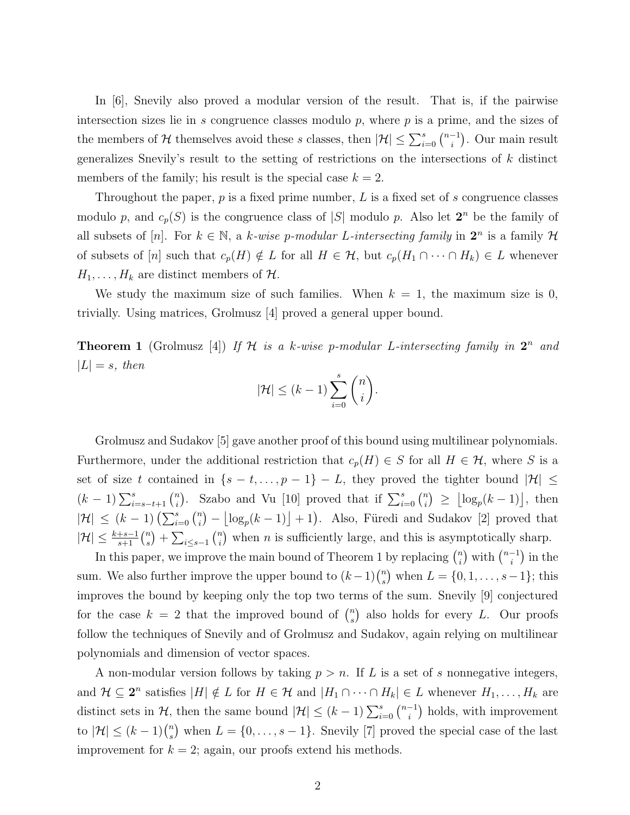In [6], Snevily also proved a modular version of the result. That is, if the pairwise intersection sizes lie in  $s$  congruence classes modulo  $p$ , where  $p$  is a prime, and the sizes of the members of  $\mathcal H$  themselves avoid these s classes, then  $|\mathcal H|\leq \sum_{i=0}^s{n-1\choose i}$  $\binom{-1}{i}$ . Our main result generalizes Snevily's result to the setting of restrictions on the intersections of  $k$  distinct members of the family; his result is the special case  $k = 2$ .

Throughout the paper,  $p$  is a fixed prime number,  $L$  is a fixed set of  $s$  congruence classes modulo p, and  $c_p(S)$  is the congruence class of |S| modulo p. Also let  $2^n$  be the family of all subsets of [n]. For  $k \in \mathbb{N}$ , a k-wise p-modular L-intersecting family in  $2^n$  is a family H of subsets of [n] such that  $c_p(H) \notin L$  for all  $H \in \mathcal{H}$ , but  $c_p(H_1 \cap \cdots \cap H_k) \in L$  whenever  $H_1, \ldots, H_k$  are distinct members of  $\mathcal{H}$ .

We study the maximum size of such families. When  $k = 1$ , the maximum size is 0, trivially. Using matrices, Grolmusz [4] proved a general upper bound.

**Theorem 1** (Grolmusz [4]) If H is a k-wise p-modular L-intersecting family in  $2^n$  and  $|L| = s$ , then

$$
|\mathcal{H}| \le (k-1) \sum_{i=0}^{s} \binom{n}{i}.
$$

Grolmusz and Sudakov [5] gave another proof of this bound using multilinear polynomials. Furthermore, under the additional restriction that  $c_p(H) \in S$  for all  $H \in \mathcal{H}$ , where S is a set of size t contained in  $\{s - t, \ldots, p - 1\} - L$ , they proved the tighter bound  $|\mathcal{H}| \leq$  $(k-1)\sum_{i=s-t+1}^{s} {n \choose i}$ <sup>n</sup><sub>i</sub>). Szabo and Vu [10] proved that if  $\sum_{i=0}^{s} {n \choose i}$  $\binom{n}{i} \geq \lfloor \log_p(k-1) \rfloor$ , then  $|\mathcal{H}| \leq (k-1) \left(\sum_{i=0}^s {n \choose i} \right)$  $\binom{n}{i} - \lfloor \log_p(k-1) \rfloor + 1$ . Also, Füredi and Sudakov [2] proved that  $|\mathcal{H}| \leq \frac{k+s-1}{s+1} \binom{n}{s}$  $\binom{n}{s}$  +  $\sum_{i\leq s-1}\binom{n}{i}$  $\binom{n}{i}$  when *n* is sufficiently large, and this is asymptotically sharp.

In this paper, we improve the main bound of Theorem 1 by replacing  $\binom{n}{i}$  $\binom{n}{i}$  with  $\binom{n-1}{i}$  $\binom{-1}{i}$  in the sum. We also further improve the upper bound to  $(k-1)$  $\binom{n}{s}$  $s$ ) when  $L = \{0, 1, \ldots, s-1\}$ ; this improves the bound by keeping only the top two terms of the sum. Snevily [9] conjectured for the case  $k = 2$  that the improved bound of  $\binom{n}{s}$  $s$ ) also holds for every L. Our proofs follow the techniques of Snevily and of Grolmusz and Sudakov, again relying on multilinear polynomials and dimension of vector spaces.

A non-modular version follows by taking  $p > n$ . If L is a set of s nonnegative integers, and  $\mathcal{H} \subseteq 2^n$  satisfies  $|H| \notin L$  for  $H \in \mathcal{H}$  and  $|H_1 \cap \cdots \cap H_k| \in L$  whenever  $H_1, \ldots, H_k$  are distinct sets in  $\mathcal{H}$ , then the same bound  $|\mathcal{H}| \leq (k-1) \sum_{i=0}^{s} {n-1 \choose i}$  $\binom{-1}{i}$  holds, with improvement to  $|\mathcal{H}| \leq (k-1) \binom{n}{s}$  $s$ ) when  $L = \{0, \ldots, s - 1\}$ . Snevily [7] proved the special case of the last improvement for  $k = 2$ ; again, our proofs extend his methods.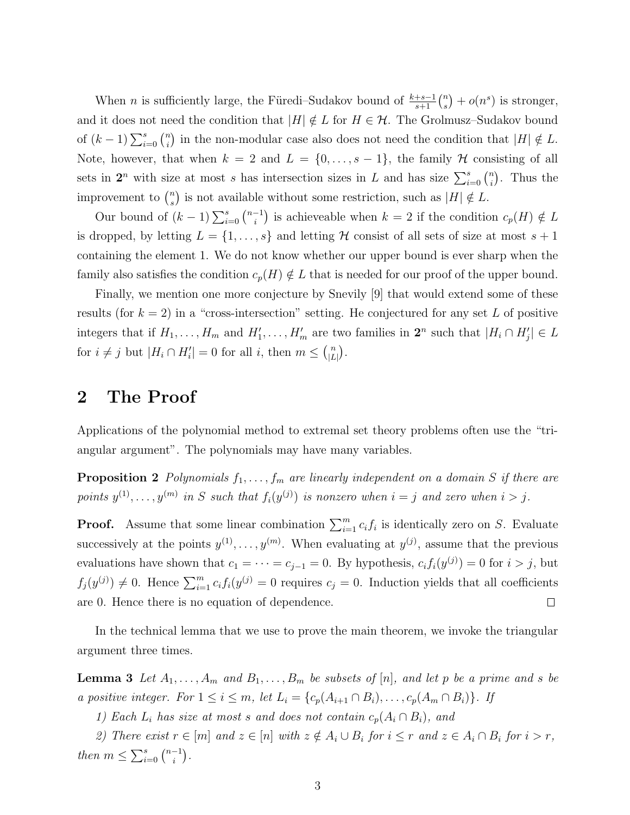When *n* is sufficiently large, the Füredi–Sudakov bound of  $\frac{k+s-1}{s+1} \binom{n}{s}$  $s^{(n)}(n^s)$  is stronger, and it does not need the condition that  $|H| \notin L$  for  $H \in \mathcal{H}$ . The Grolmusz–Sudakov bound of  $(k-1)\sum_{i=0}^{s} {n \choose i}$  $\binom{n}{i}$  in the non-modular case also does not need the condition that  $|H| \notin L$ . Note, however, that when  $k = 2$  and  $L = \{0, \ldots, s - 1\}$ , the family  $H$  consisting of all sets in  $2^n$  with size at most s has intersection sizes in L and has size  $\sum_{i=0}^s \binom{n}{i}$  $\binom{n}{i}$ . Thus the improvement to  $\binom{n}{s}$  $s$ ) is not available without some restriction, such as  $|H| \notin L$ .

Our bound of  $(k-1)\sum_{i=0}^{s} {n-1 \choose i}$  $i$ <sup>-1</sup>) is achieveable when  $k = 2$  if the condition  $c_p(H) \notin L$ is dropped, by letting  $L = \{1, \ldots, s\}$  and letting H consist of all sets of size at most  $s + 1$ containing the element 1. We do not know whether our upper bound is ever sharp when the family also satisfies the condition  $c_p(H) \notin L$  that is needed for our proof of the upper bound.

Finally, we mention one more conjecture by Snevily [9] that would extend some of these results (for  $k = 2$ ) in a "cross-intersection" setting. He conjectured for any set L of positive integers that if  $H_1, \ldots, H_m$  and  $H'_1, \ldots, H'_m$  are two families in  $2^n$  such that  $|H_i \cap H'_j| \in L$ for  $i \neq j$  but  $|H_i \cap H'_i| = 0$  for all i, then  $m \leq {n \choose |L|}$  $\binom{n}{|L|}$ .

### 2 The Proof

Applications of the polynomial method to extremal set theory problems often use the "triangular argument". The polynomials may have many variables.

**Proposition 2** Polynomials  $f_1, \ldots, f_m$  are linearly independent on a domain S if there are points  $y^{(1)}, \ldots, y^{(m)}$  in S such that  $f_i(y^{(j)})$  is nonzero when  $i = j$  and zero when  $i > j$ .

**Proof.** Assume that some linear combination  $\sum_{i=1}^{m} c_i f_i$  is identically zero on S. Evaluate successively at the points  $y^{(1)}, \ldots, y^{(m)}$ . When evaluating at  $y^{(j)}$ , assume that the previous evaluations have shown that  $c_1 = \cdots = c_{j-1} = 0$ . By hypothesis,  $c_i f_i(y^{(j)}) = 0$  for  $i > j$ , but  $f_j(y^{(j)}) \neq 0$ . Hence  $\sum_{i=1}^m c_i f_i(y^{(j)} = 0)$  requires  $c_j = 0$ . Induction yields that all coefficients are 0. Hence there is no equation of dependence.  $\Box$ 

In the technical lemma that we use to prove the main theorem, we invoke the triangular argument three times.

**Lemma 3** Let  $A_1, \ldots, A_m$  and  $B_1, \ldots, B_m$  be subsets of [n], and let p be a prime and s be a positive integer. For  $1 \leq i \leq m$ , let  $L_i = \{c_p(A_{i+1} \cap B_i), \ldots, c_p(A_m \cap B_i)\}\$ . If

1) Each  $L_i$  has size at most s and does not contain  $c_p(A_i \cap B_i)$ , and

2) There exist  $r \in [m]$  and  $z \in [n]$  with  $z \notin A_i \cup B_i$  for  $i \leq r$  and  $z \in A_i \cap B_i$  for  $i > r$ , then  $m \leq \sum_{i=0}^{s} {n-1 \choose i}$  $\binom{-1}{i}$ .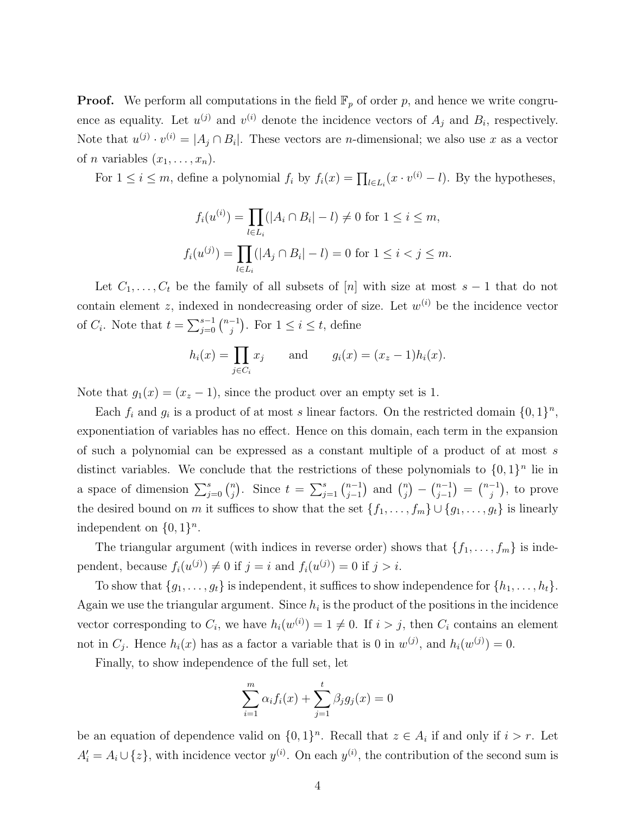**Proof.** We perform all computations in the field  $\mathbb{F}_p$  of order p, and hence we write congruence as equality. Let  $u^{(j)}$  and  $v^{(i)}$  denote the incidence vectors of  $A_j$  and  $B_i$ , respectively. Note that  $u^{(j)} \cdot v^{(i)} = |A_j \cap B_i|$ . These vectors are *n*-dimensional; we also use x as a vector of *n* variables  $(x_1, \ldots, x_n)$ .

For  $1 \leq i \leq m$ , define a polynomial  $f_i$  by  $f_i(x) = \prod_{l \in L_i} (x \cdot v^{(i)} - l)$ . By the hypotheses,

$$
f_i(u^{(i)}) = \prod_{l \in L_i} (|A_i \cap B_i| - l) \neq 0 \text{ for } 1 \leq i \leq m,
$$
  

$$
f_i(u^{(j)}) = \prod_{l \in L_i} (|A_j \cap B_i| - l) = 0 \text{ for } 1 \leq i < j \leq m.
$$

Let  $C_1, \ldots, C_t$  be the family of all subsets of [n] with size at most  $s - 1$  that do not contain element z, indexed in nondecreasing order of size. Let  $w^{(i)}$  be the incidence vector of  $C_i$ . Note that  $t = \sum_{j=0}^{s-1} \binom{n-1}{j}$  $j^{-1}$ ). For  $1 \leq i \leq t$ , define

$$
h_i(x) = \prod_{j \in C_i} x_j
$$
 and  $g_i(x) = (x_z - 1)h_i(x)$ .

Note that  $g_1(x) = (x_z - 1)$ , since the product over an empty set is 1.

Each  $f_i$  and  $g_i$  is a product of at most s linear factors. On the restricted domain  $\{0,1\}^n$ , exponentiation of variables has no effect. Hence on this domain, each term in the expansion of such a polynomial can be expressed as a constant multiple of a product of at most s distinct variables. We conclude that the restrictions of these polynomials to  $\{0,1\}^n$  lie in a space of dimension  $\sum_{j=0}^{s} {n \choose j}$  $j^{(n)}$ . Since  $t = \sum_{j=1}^{s} {n-1 \choose j-1}$  $_{j-1}^{n-1}$  and  $\binom{n}{j}$  $\binom{n}{j} - \binom{n-1}{j-1}$  $\binom{n-1}{j-1} = \binom{n-1}{j}$  $\binom{-1}{j}$ , to prove the desired bound on m it suffices to show that the set  $\{f_1, \ldots, f_m\} \cup \{g_1, \ldots, g_t\}$  is linearly independent on  $\{0, 1\}^n$ .

The triangular argument (with indices in reverse order) shows that  $\{f_1, \ldots, f_m\}$  is independent, because  $f_i(u^{(j)}) \neq 0$  if  $j = i$  and  $f_i(u^{(j)}) = 0$  if  $j > i$ .

To show that  $\{g_1, \ldots, g_t\}$  is independent, it suffices to show independence for  $\{h_1, \ldots, h_t\}$ . Again we use the triangular argument. Since  $h_i$  is the product of the positions in the incidence vector corresponding to  $C_i$ , we have  $h_i(w^{(i)}) = 1 \neq 0$ . If  $i > j$ , then  $C_i$  contains an element not in  $C_j$ . Hence  $h_i(x)$  has as a factor a variable that is 0 in  $w^{(j)}$ , and  $h_i(w^{(j)}) = 0$ .

Finally, to show independence of the full set, let

$$
\sum_{i=1}^{m} \alpha_i f_i(x) + \sum_{j=1}^{t} \beta_j g_j(x) = 0
$$

be an equation of dependence valid on  $\{0,1\}^n$ . Recall that  $z \in A_i$  if and only if  $i > r$ . Let  $A_i' = A_i \cup \{z\}$ , with incidence vector  $y^{(i)}$ . On each  $y^{(i)}$ , the contribution of the second sum is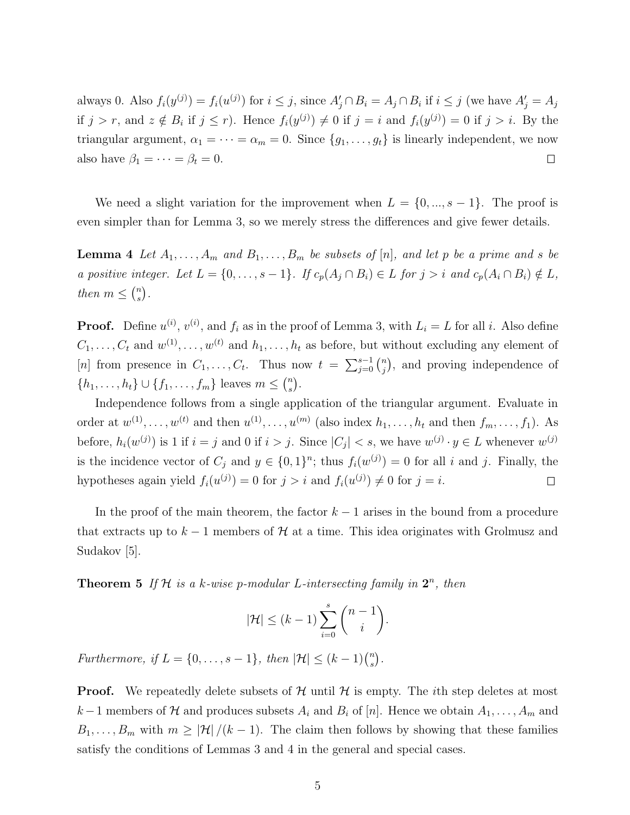always 0. Also  $f_i(y^{(j)}) = f_i(u^{(j)})$  for  $i \leq j$ , since  $A'_j \cap B_i = A_j \cap B_i$  if  $i \leq j$  (we have  $A'_j = A_j$ if  $j > r$ , and  $z \notin B_i$  if  $j \leq r$ ). Hence  $f_i(y^{(j)}) \neq 0$  if  $j = i$  and  $f_i(y^{(j)}) = 0$  if  $j > i$ . By the triangular argument,  $\alpha_1 = \cdots = \alpha_m = 0$ . Since  $\{g_1, \ldots, g_t\}$  is linearly independent, we now also have  $\beta_1 = \cdots = \beta_t = 0$ .  $\Box$ 

We need a slight variation for the improvement when  $L = \{0, ..., s-1\}$ . The proof is even simpler than for Lemma 3, so we merely stress the differences and give fewer details.

**Lemma 4** Let  $A_1, \ldots, A_m$  and  $B_1, \ldots, B_m$  be subsets of [n], and let p be a prime and s be a positive integer. Let  $L = \{0, \ldots, s - 1\}$ . If  $c_p(A_j \cap B_i) \in L$  for  $j > i$  and  $c_p(A_i \cap B_i) \notin L$ , then  $m \leq {n \choose s}$  $\binom{n}{s}$ .

**Proof.** Define  $u^{(i)}$ ,  $v^{(i)}$ , and  $f_i$  as in the proof of Lemma 3, with  $L_i = L$  for all i. Also define  $C_1, \ldots, C_t$  and  $w^{(1)}, \ldots, w^{(t)}$  and  $h_1, \ldots, h_t$  as before, but without excluding any element of [n] from presence in  $C_1, \ldots, C_t$ . Thus now  $t = \sum_{j=0}^{s-1} {n \choose j}$  $\binom{n}{j}$ , and proving independence of  $\{h_1, \ldots, h_t\} \cup \{f_1, \ldots, f_m\}$  leaves  $m \leq {n \choose s}$  $\binom{n}{s}$ .

Independence follows from a single application of the triangular argument. Evaluate in order at  $w^{(1)}, \ldots, w^{(t)}$  and then  $u^{(1)}, \ldots, u^{(m)}$  (also index  $h_1, \ldots, h_t$  and then  $f_m, \ldots, f_1$ ). As before,  $h_i(w^{(j)})$  is 1 if  $i = j$  and 0 if  $i > j$ . Since  $|C_j| < s$ , we have  $w^{(j)} \cdot y \in L$  whenever  $w^{(j)}$ is the incidence vector of  $C_j$  and  $y \in \{0,1\}^n$ ; thus  $f_i(w^{(j)}) = 0$  for all i and j. Finally, the hypotheses again yield  $f_i(u^{(j)}) = 0$  for  $j > i$  and  $f_i(u^{(j)}) \neq 0$  for  $j = i$ .  $\Box$ 

In the proof of the main theorem, the factor  $k-1$  arises in the bound from a procedure that extracts up to  $k-1$  members of H at a time. This idea originates with Grolmusz and Sudakov [5].

**Theorem 5** If  $H$  is a k-wise p-modular L-intersecting family in  $2^n$ , then

$$
|\mathcal{H}| \le (k-1) \sum_{i=0}^{s} \binom{n-1}{i}.
$$

Furthermore, if  $L = \{0, \ldots, s-1\}$ , then  $|\mathcal{H}| \leq (k-1) \binom{n}{s}$  $\binom{n}{s}$  .

**Proof.** We repeatedly delete subsets of  $H$  until  $H$  is empty. The *i*th step deletes at most k – 1 members of H and produces subsets  $A_i$  and  $B_i$  of [n]. Hence we obtain  $A_1, \ldots, A_m$  and  $B_1, \ldots, B_m$  with  $m \geq |\mathcal{H}|/(k-1)$ . The claim then follows by showing that these families satisfy the conditions of Lemmas 3 and 4 in the general and special cases.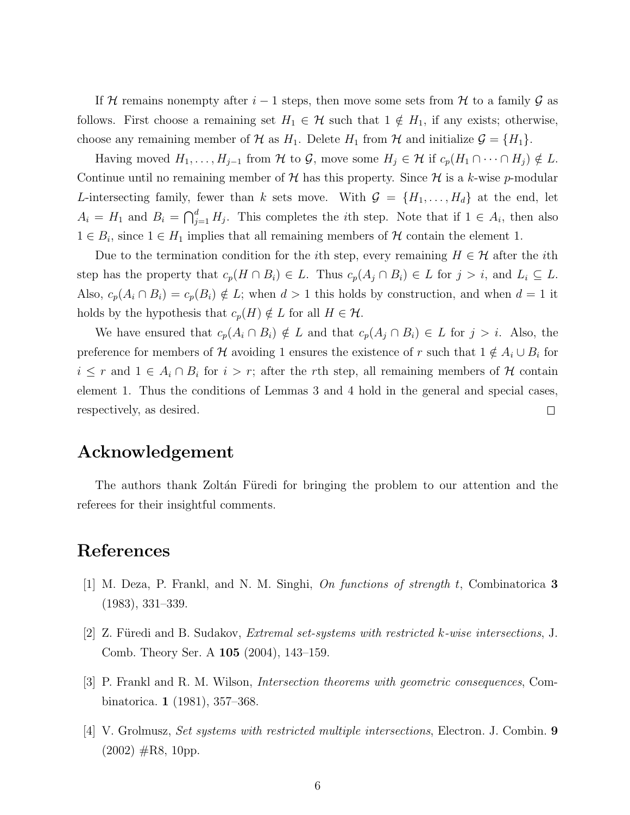If H remains nonempty after  $i-1$  steps, then move some sets from H to a family G as follows. First choose a remaining set  $H_1 \in \mathcal{H}$  such that  $1 \notin H_1$ , if any exists; otherwise, choose any remaining member of  $\mathcal H$  as  $H_1$ . Delete  $H_1$  from  $\mathcal H$  and initialize  $\mathcal G = \{H_1\}$ .

Having moved  $H_1, \ldots, H_{j-1}$  from  $\mathcal H$  to  $\mathcal G$ , move some  $H_j \in \mathcal H$  if  $c_p(H_1 \cap \cdots \cap H_j) \notin L$ . Continue until no remaining member of H has this property. Since H is a k-wise p-modular L-intersecting family, fewer than k sets move. With  $\mathcal{G} = \{H_1, \ldots, H_d\}$  at the end, let  $A_i = H_1$  and  $B_i = \bigcap_{j=1}^d H_j$ . This completes the *i*th step. Note that if  $1 \in A_i$ , then also  $1 \in B_i$ , since  $1 \in H_1$  implies that all remaining members of H contain the element 1.

Due to the termination condition for the *i*th step, every remaining  $H \in \mathcal{H}$  after the *i*th step has the property that  $c_p(H \cap B_i) \in L$ . Thus  $c_p(A_j \cap B_i) \in L$  for  $j > i$ , and  $L_i \subseteq L$ . Also,  $c_p(A_i \cap B_i) = c_p(B_i) \notin L$ ; when  $d > 1$  this holds by construction, and when  $d = 1$  it holds by the hypothesis that  $c_p(H) \notin L$  for all  $H \in \mathcal{H}$ .

We have ensured that  $c_p(A_i \cap B_i) \notin L$  and that  $c_p(A_j \cap B_i) \in L$  for  $j > i$ . Also, the preference for members of H avoiding 1 ensures the existence of r such that  $1 \notin A_i \cup B_i$  for  $i \leq r$  and  $1 \in A_i \cap B_i$  for  $i > r$ ; after the rth step, all remaining members of H contain element 1. Thus the conditions of Lemmas 3 and 4 hold in the general and special cases, respectively, as desired.  $\Box$ 

#### Acknowledgement

The authors thank Zoltán Füredi for bringing the problem to our attention and the referees for their insightful comments.

## References

- [1] M. Deza, P. Frankl, and N. M. Singhi, On functions of strength t, Combinatorica 3 (1983), 331–339.
- [2]  $Z.$  Furedi and B. Sudakov, *Extremal set-systems with restricted k-wise intersections*, J. Comb. Theory Ser. A 105 (2004), 143–159.
- [3] P. Frankl and R. M. Wilson, Intersection theorems with geometric consequences, Combinatorica. 1 (1981), 357–368.
- [4] V. Grolmusz, Set systems with restricted multiple intersections, Electron. J. Combin. 9  $(2002)$  #R8, 10pp.